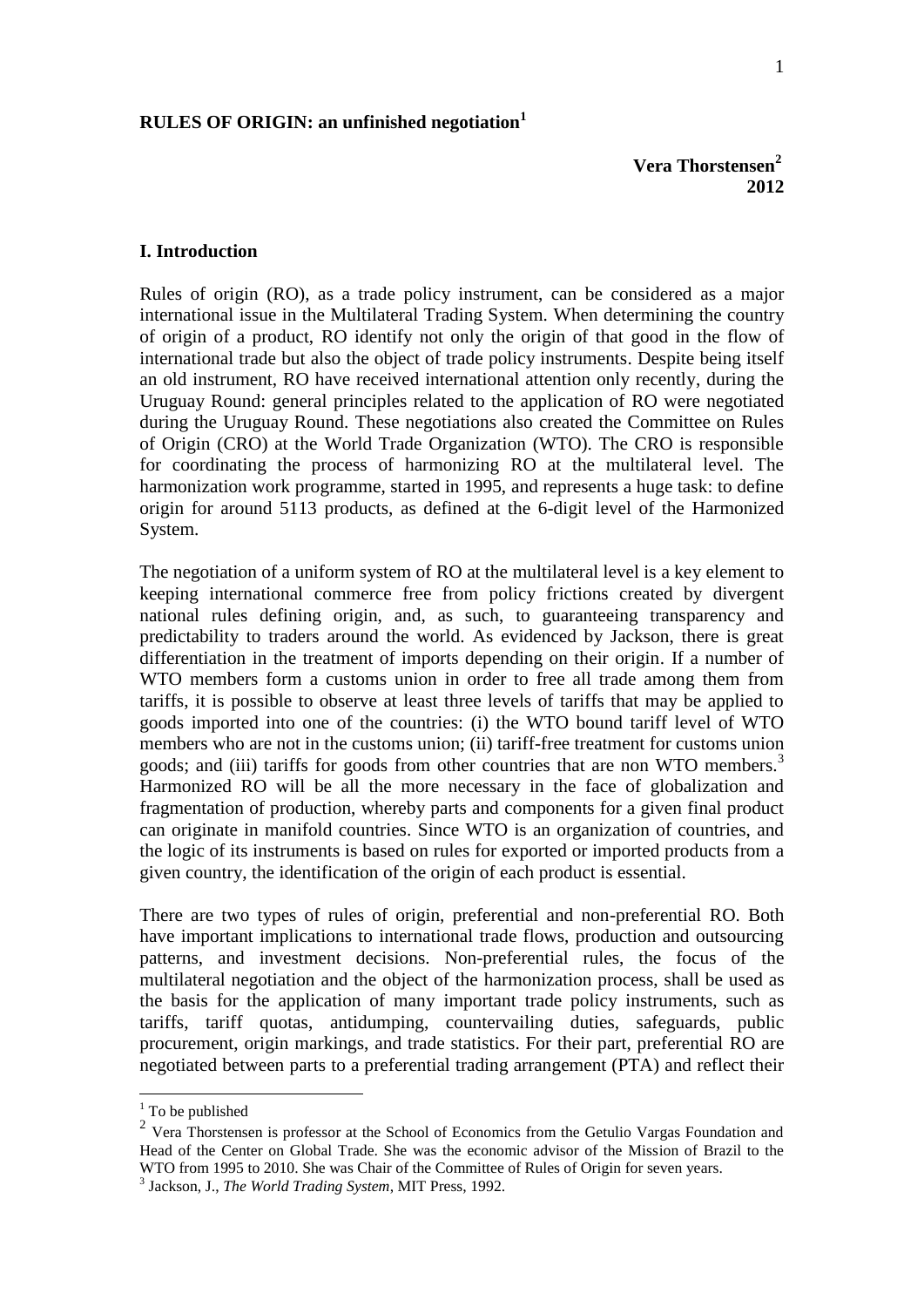## **RULES OF ORIGIN: an unfinished negotiation<sup>1</sup>**

#### **I. Introduction**

Rules of origin (RO), as a trade policy instrument, can be considered as a major international issue in the Multilateral Trading System. When determining the country of origin of a product, RO identify not only the origin of that good in the flow of international trade but also the object of trade policy instruments. Despite being itself an old instrument, RO have received international attention only recently, during the Uruguay Round: general principles related to the application of RO were negotiated during the Uruguay Round. These negotiations also created the Committee on Rules of Origin (CRO) at the World Trade Organization (WTO). The CRO is responsible for coordinating the process of harmonizing RO at the multilateral level. The harmonization work programme, started in 1995, and represents a huge task: to define origin for around 5113 products, as defined at the 6-digit level of the Harmonized System.

The negotiation of a uniform system of RO at the multilateral level is a key element to keeping international commerce free from policy frictions created by divergent national rules defining origin, and, as such, to guaranteeing transparency and predictability to traders around the world. As evidenced by Jackson, there is great differentiation in the treatment of imports depending on their origin. If a number of WTO members form a customs union in order to free all trade among them from tariffs, it is possible to observe at least three levels of tariffs that may be applied to goods imported into one of the countries: (i) the WTO bound tariff level of WTO members who are not in the customs union; (ii) tariff-free treatment for customs union goods; and (iii) tariffs for goods from other countries that are non WTO members. $3$ Harmonized RO will be all the more necessary in the face of globalization and fragmentation of production, whereby parts and components for a given final product can originate in manifold countries. Since WTO is an organization of countries, and the logic of its instruments is based on rules for exported or imported products from a given country, the identification of the origin of each product is essential.

There are two types of rules of origin, preferential and non-preferential RO. Both have important implications to international trade flows, production and outsourcing patterns, and investment decisions. Non-preferential rules, the focus of the multilateral negotiation and the object of the harmonization process, shall be used as the basis for the application of many important trade policy instruments, such as tariffs, tariff quotas, antidumping, countervailing duties, safeguards, public procurement, origin markings, and trade statistics. For their part, preferential RO are negotiated between parts to a preferential trading arrangement (PTA) and reflect their

<u>.</u>

 $1$  To be published

 $2 \text{ Vera}$  Thorstensen is professor at the School of Economics from the Getulio Vargas Foundation and Head of the Center on Global Trade. She was the economic advisor of the Mission of Brazil to the WTO from 1995 to 2010. She was Chair of the Committee of Rules of Origin for seven years.

<sup>3</sup> Jackson, J., *The World Trading System*, MIT Press, 1992.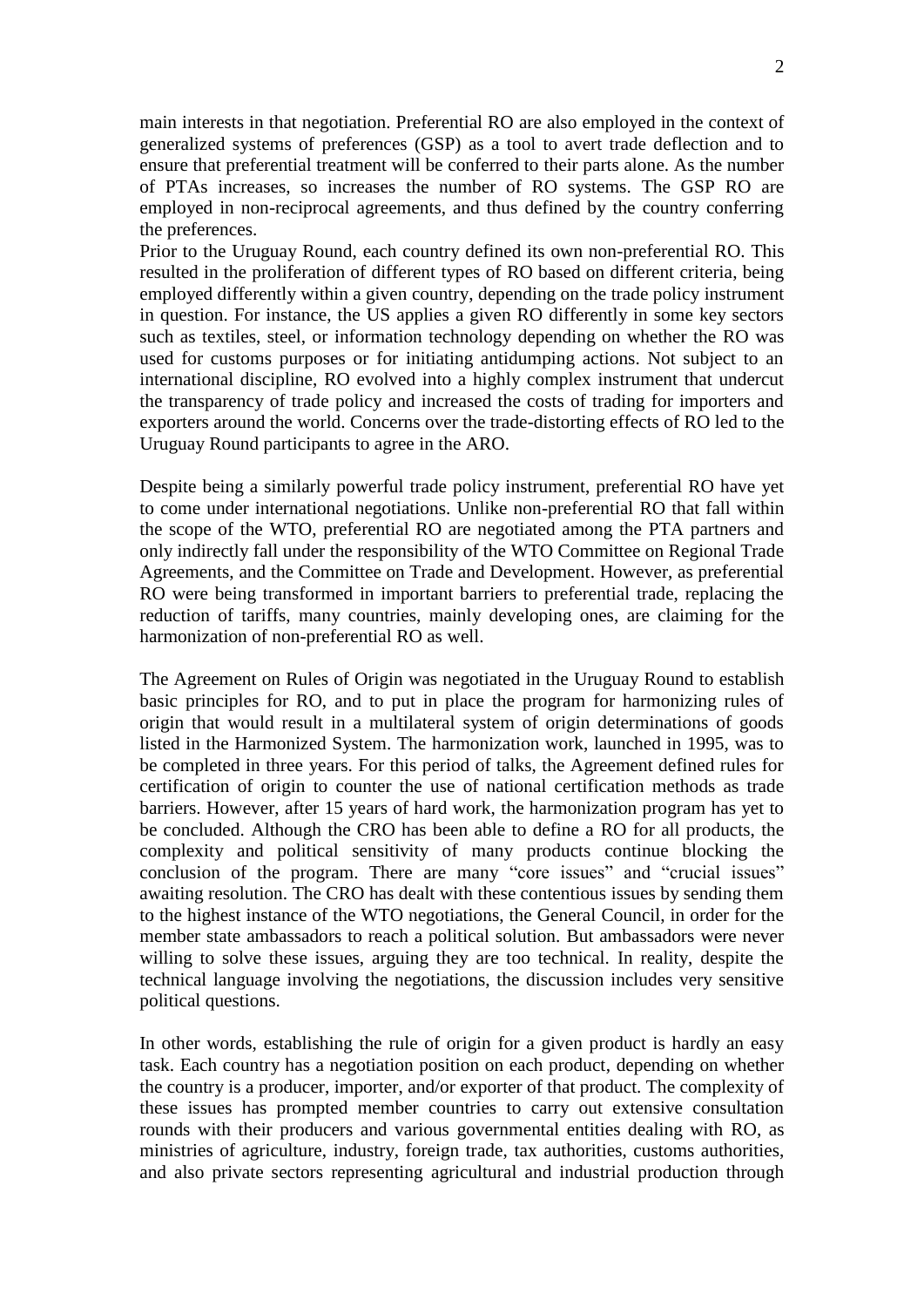main interests in that negotiation. Preferential RO are also employed in the context of generalized systems of preferences (GSP) as a tool to avert trade deflection and to ensure that preferential treatment will be conferred to their parts alone. As the number of PTAs increases, so increases the number of RO systems. The GSP RO are employed in non-reciprocal agreements, and thus defined by the country conferring the preferences.

Prior to the Uruguay Round, each country defined its own non-preferential RO. This resulted in the proliferation of different types of RO based on different criteria, being employed differently within a given country, depending on the trade policy instrument in question. For instance, the US applies a given RO differently in some key sectors such as textiles, steel, or information technology depending on whether the RO was used for customs purposes or for initiating antidumping actions. Not subject to an international discipline, RO evolved into a highly complex instrument that undercut the transparency of trade policy and increased the costs of trading for importers and exporters around the world. Concerns over the trade-distorting effects of RO led to the Uruguay Round participants to agree in the ARO.

Despite being a similarly powerful trade policy instrument, preferential RO have yet to come under international negotiations. Unlike non-preferential RO that fall within the scope of the WTO, preferential RO are negotiated among the PTA partners and only indirectly fall under the responsibility of the WTO Committee on Regional Trade Agreements, and the Committee on Trade and Development. However, as preferential RO were being transformed in important barriers to preferential trade, replacing the reduction of tariffs, many countries, mainly developing ones, are claiming for the harmonization of non-preferential RO as well.

The Agreement on Rules of Origin was negotiated in the Uruguay Round to establish basic principles for RO, and to put in place the program for harmonizing rules of origin that would result in a multilateral system of origin determinations of goods listed in the Harmonized System. The harmonization work, launched in 1995, was to be completed in three years. For this period of talks, the Agreement defined rules for certification of origin to counter the use of national certification methods as trade barriers. However, after 15 years of hard work, the harmonization program has yet to be concluded. Although the CRO has been able to define a RO for all products, the complexity and political sensitivity of many products continue blocking the conclusion of the program. There are many "core issues" and "crucial issues" awaiting resolution. The CRO has dealt with these contentious issues by sending them to the highest instance of the WTO negotiations, the General Council, in order for the member state ambassadors to reach a political solution. But ambassadors were never willing to solve these issues, arguing they are too technical. In reality, despite the technical language involving the negotiations, the discussion includes very sensitive political questions.

In other words, establishing the rule of origin for a given product is hardly an easy task. Each country has a negotiation position on each product, depending on whether the country is a producer, importer, and/or exporter of that product. The complexity of these issues has prompted member countries to carry out extensive consultation rounds with their producers and various governmental entities dealing with RO, as ministries of agriculture, industry, foreign trade, tax authorities, customs authorities, and also private sectors representing agricultural and industrial production through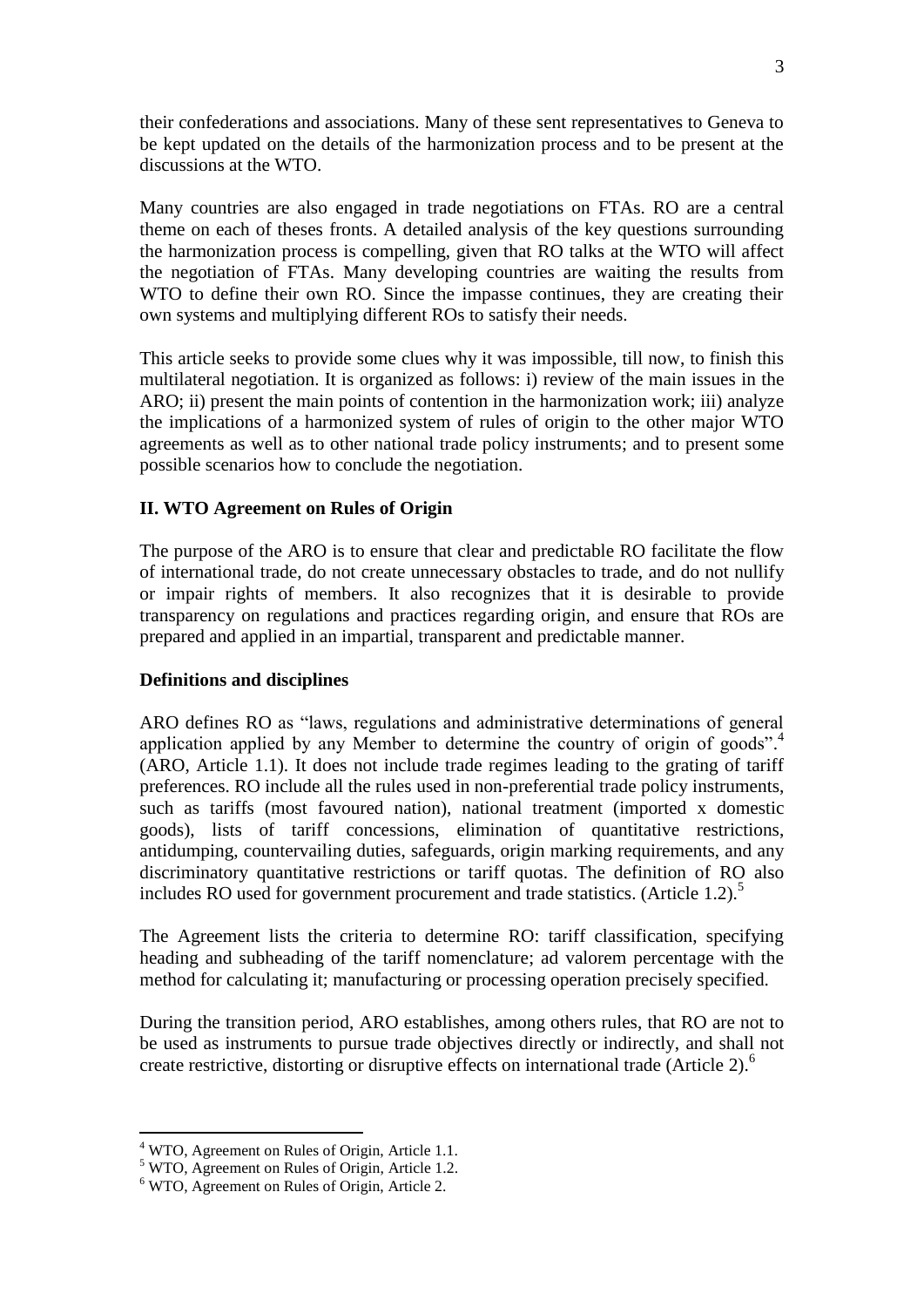their confederations and associations. Many of these sent representatives to Geneva to be kept updated on the details of the harmonization process and to be present at the discussions at the WTO.

Many countries are also engaged in trade negotiations on FTAs. RO are a central theme on each of theses fronts. A detailed analysis of the key questions surrounding the harmonization process is compelling, given that RO talks at the WTO will affect the negotiation of FTAs. Many developing countries are waiting the results from WTO to define their own RO. Since the impasse continues, they are creating their own systems and multiplying different ROs to satisfy their needs.

This article seeks to provide some clues why it was impossible, till now, to finish this multilateral negotiation. It is organized as follows: i) review of the main issues in the ARO; ii) present the main points of contention in the harmonization work; iii) analyze the implications of a harmonized system of rules of origin to the other major WTO agreements as well as to other national trade policy instruments; and to present some possible scenarios how to conclude the negotiation.

## **II. WTO Agreement on Rules of Origin**

The purpose of the ARO is to ensure that clear and predictable RO facilitate the flow of international trade, do not create unnecessary obstacles to trade, and do not nullify or impair rights of members. It also recognizes that it is desirable to provide transparency on regulations and practices regarding origin, and ensure that ROs are prepared and applied in an impartial, transparent and predictable manner.

## **Definitions and disciplines**

ARO defines RO as "laws, regulations and administrative determinations of general application applied by any Member to determine the country of origin of goods".<sup>4</sup> (ARO, Article 1.1). It does not include trade regimes leading to the grating of tariff preferences. RO include all the rules used in non-preferential trade policy instruments, such as tariffs (most favoured nation), national treatment (imported x domestic goods), lists of tariff concessions, elimination of quantitative restrictions, antidumping, countervailing duties, safeguards, origin marking requirements, and any discriminatory quantitative restrictions or tariff quotas. The definition of RO also includes RO used for government procurement and trade statistics. (Article 1.2).<sup>5</sup>

The Agreement lists the criteria to determine RO: tariff classification, specifying heading and subheading of the tariff nomenclature; ad valorem percentage with the method for calculating it; manufacturing or processing operation precisely specified.

During the transition period, ARO establishes, among others rules, that RO are not to be used as instruments to pursue trade objectives directly or indirectly, and shall not create restrictive, distorting or disruptive effects on international trade (Article 2).<sup>6</sup>

1

<sup>4</sup> WTO, Agreement on Rules of Origin, Article 1.1.

<sup>5</sup> WTO, Agreement on Rules of Origin, Article 1.2.

 $6$  WTO, Agreement on Rules of Origin, Article 2.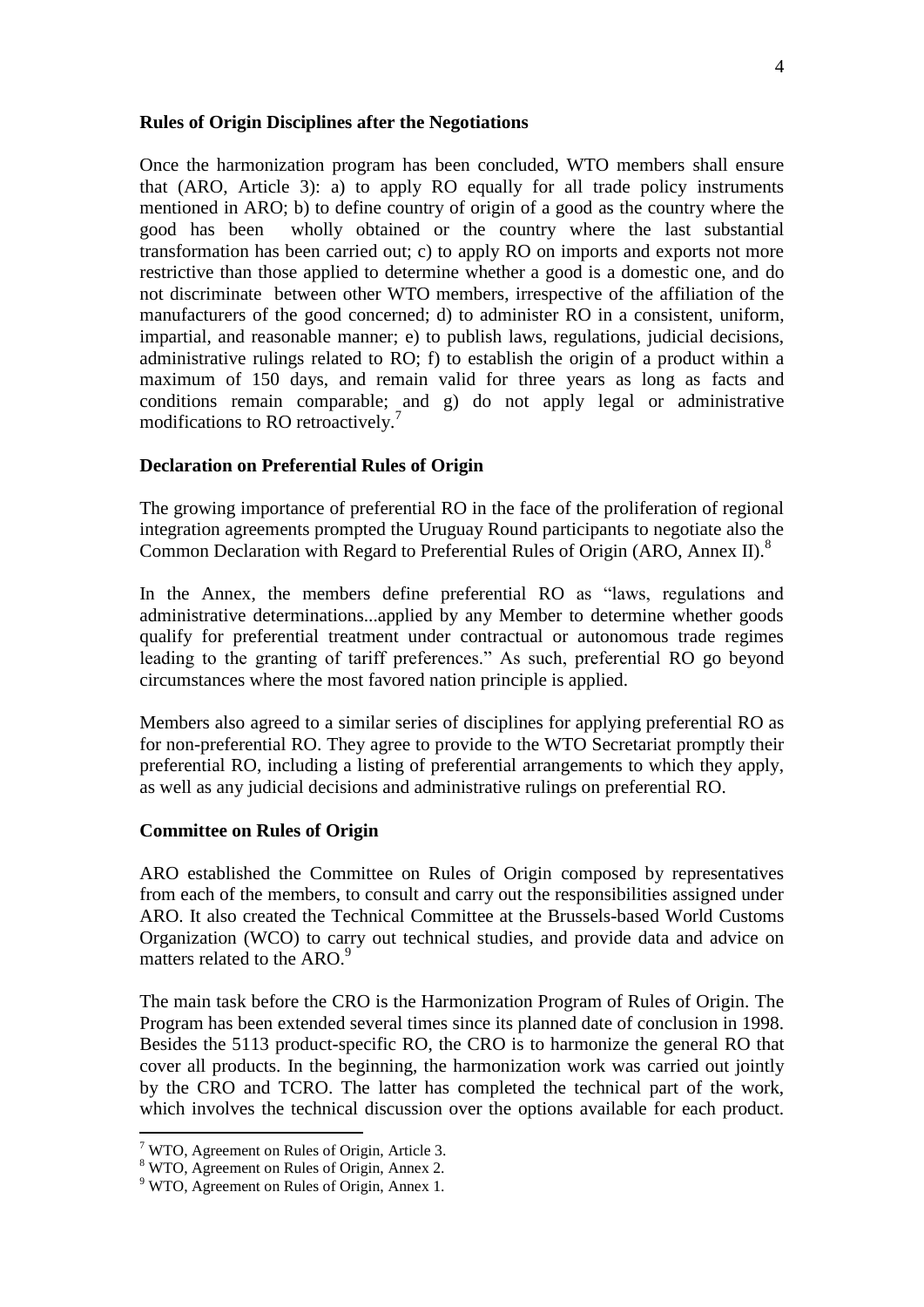#### **Rules of Origin Disciplines after the Negotiations**

Once the harmonization program has been concluded, WTO members shall ensure that (ARO, Article 3): a) to apply RO equally for all trade policy instruments mentioned in ARO; b) to define country of origin of a good as the country where the good has been wholly obtained or the country where the last substantial transformation has been carried out; c) to apply RO on imports and exports not more restrictive than those applied to determine whether a good is a domestic one, and do not discriminate between other WTO members, irrespective of the affiliation of the manufacturers of the good concerned; d) to administer RO in a consistent, uniform, impartial, and reasonable manner; e) to publish laws, regulations, judicial decisions, administrative rulings related to RO; f) to establish the origin of a product within a maximum of 150 days, and remain valid for three years as long as facts and conditions remain comparable; and g) do not apply legal or administrative modifications to RO retroactively.<sup>7</sup>

## **Declaration on Preferential Rules of Origin**

The growing importance of preferential RO in the face of the proliferation of regional integration agreements prompted the Uruguay Round participants to negotiate also the Common Declaration with Regard to Preferential Rules of Origin (ARO, Annex II).<sup>8</sup>

In the Annex, the members define preferential RO as "laws, regulations and administrative determinations...applied by any Member to determine whether goods qualify for preferential treatment under contractual or autonomous trade regimes leading to the granting of tariff preferences." As such, preferential RO go beyond circumstances where the most favored nation principle is applied.

Members also agreed to a similar series of disciplines for applying preferential RO as for non-preferential RO. They agree to provide to the WTO Secretariat promptly their preferential RO, including a listing of preferential arrangements to which they apply, as well as any judicial decisions and administrative rulings on preferential RO.

#### **Committee on Rules of Origin**

ARO established the Committee on Rules of Origin composed by representatives from each of the members, to consult and carry out the responsibilities assigned under ARO. It also created the Technical Committee at the Brussels-based World Customs Organization (WCO) to carry out technical studies, and provide data and advice on matters related to the ARO.<sup>9</sup>

The main task before the CRO is the Harmonization Program of Rules of Origin. The Program has been extended several times since its planned date of conclusion in 1998. Besides the 5113 product-specific RO, the CRO is to harmonize the general RO that cover all products. In the beginning, the harmonization work was carried out jointly by the CRO and TCRO. The latter has completed the technical part of the work, which involves the technical discussion over the options available for each product.

1

 $7$  WTO, Agreement on Rules of Origin, Article 3.

<sup>8</sup> WTO, Agreement on Rules of Origin, Annex 2.

 $9$  WTO, Agreement on Rules of Origin, Annex 1.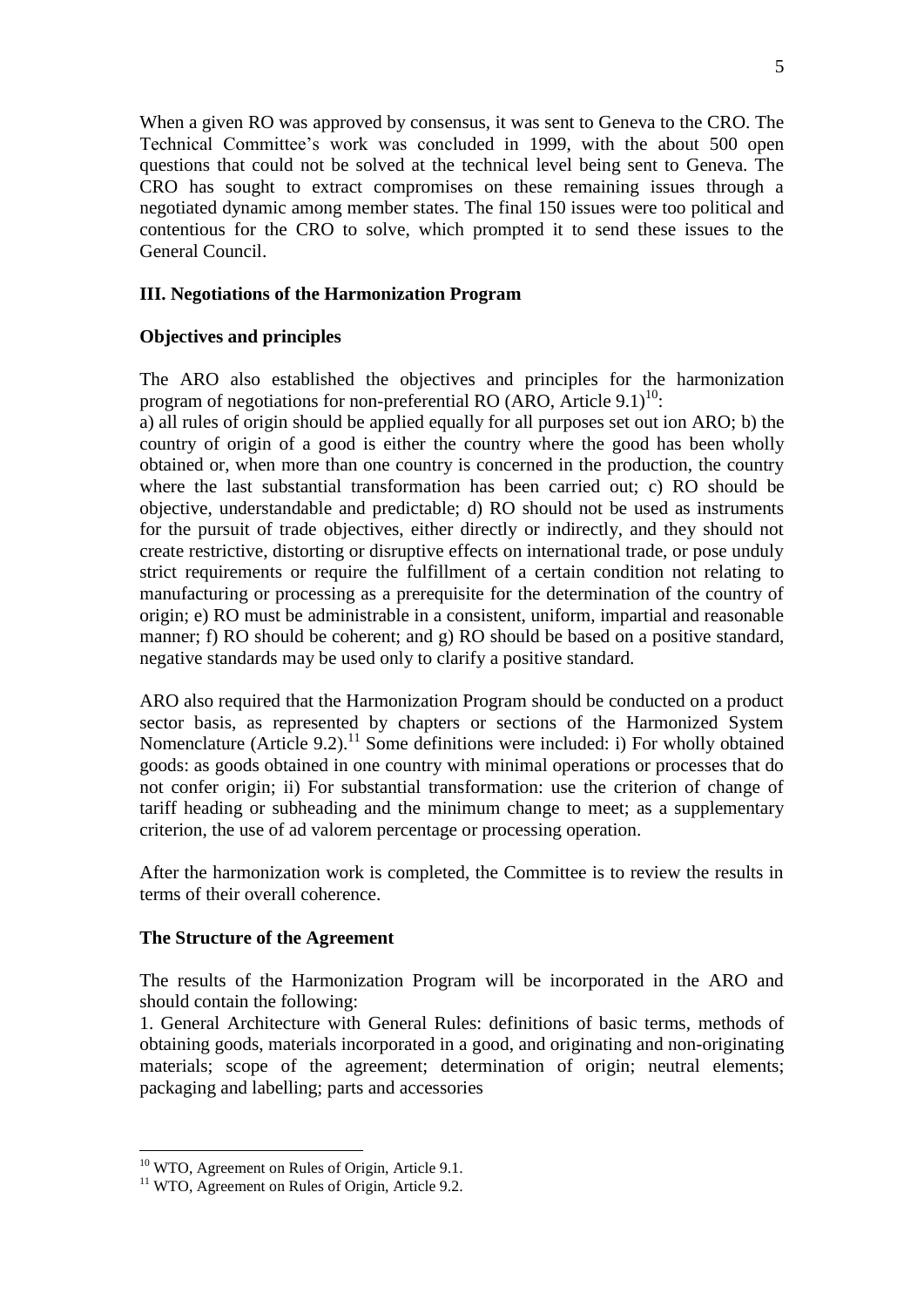When a given RO was approved by consensus, it was sent to Geneva to the CRO. The Technical Committee's work was concluded in 1999, with the about 500 open questions that could not be solved at the technical level being sent to Geneva. The CRO has sought to extract compromises on these remaining issues through a negotiated dynamic among member states. The final 150 issues were too political and contentious for the CRO to solve, which prompted it to send these issues to the General Council.

## **III. Negotiations of the Harmonization Program**

## **Objectives and principles**

The ARO also established the objectives and principles for the harmonization program of negotiations for non-preferential RO (ARO, Article  $9.1$ )<sup>10</sup>:

a) all rules of origin should be applied equally for all purposes set out ion ARO; b) the country of origin of a good is either the country where the good has been wholly obtained or, when more than one country is concerned in the production, the country where the last substantial transformation has been carried out; c) RO should be objective, understandable and predictable; d) RO should not be used as instruments for the pursuit of trade objectives, either directly or indirectly, and they should not create restrictive, distorting or disruptive effects on international trade, or pose unduly strict requirements or require the fulfillment of a certain condition not relating to manufacturing or processing as a prerequisite for the determination of the country of origin; e) RO must be administrable in a consistent, uniform, impartial and reasonable manner; f) RO should be coherent; and g) RO should be based on a positive standard, negative standards may be used only to clarify a positive standard.

ARO also required that the Harmonization Program should be conducted on a product sector basis, as represented by chapters or sections of the Harmonized System Nomenclature (Article 9.2).<sup>11</sup> Some definitions were included: i) For wholly obtained goods: as goods obtained in one country with minimal operations or processes that do not confer origin; ii) For substantial transformation: use the criterion of change of tariff heading or subheading and the minimum change to meet; as a supplementary criterion, the use of ad valorem percentage or processing operation.

After the harmonization work is completed, the Committee is to review the results in terms of their overall coherence.

## **The Structure of the Agreement**

The results of the Harmonization Program will be incorporated in the ARO and should contain the following:

1. General Architecture with General Rules: definitions of basic terms, methods of obtaining goods, materials incorporated in a good, and originating and non-originating materials; scope of the agreement; determination of origin; neutral elements; packaging and labelling; parts and accessories

<u>.</u>

<sup>&</sup>lt;sup>10</sup> WTO, Agreement on Rules of Origin, Article 9.1.

<sup>&</sup>lt;sup>11</sup> WTO, Agreement on Rules of Origin, Article 9.2.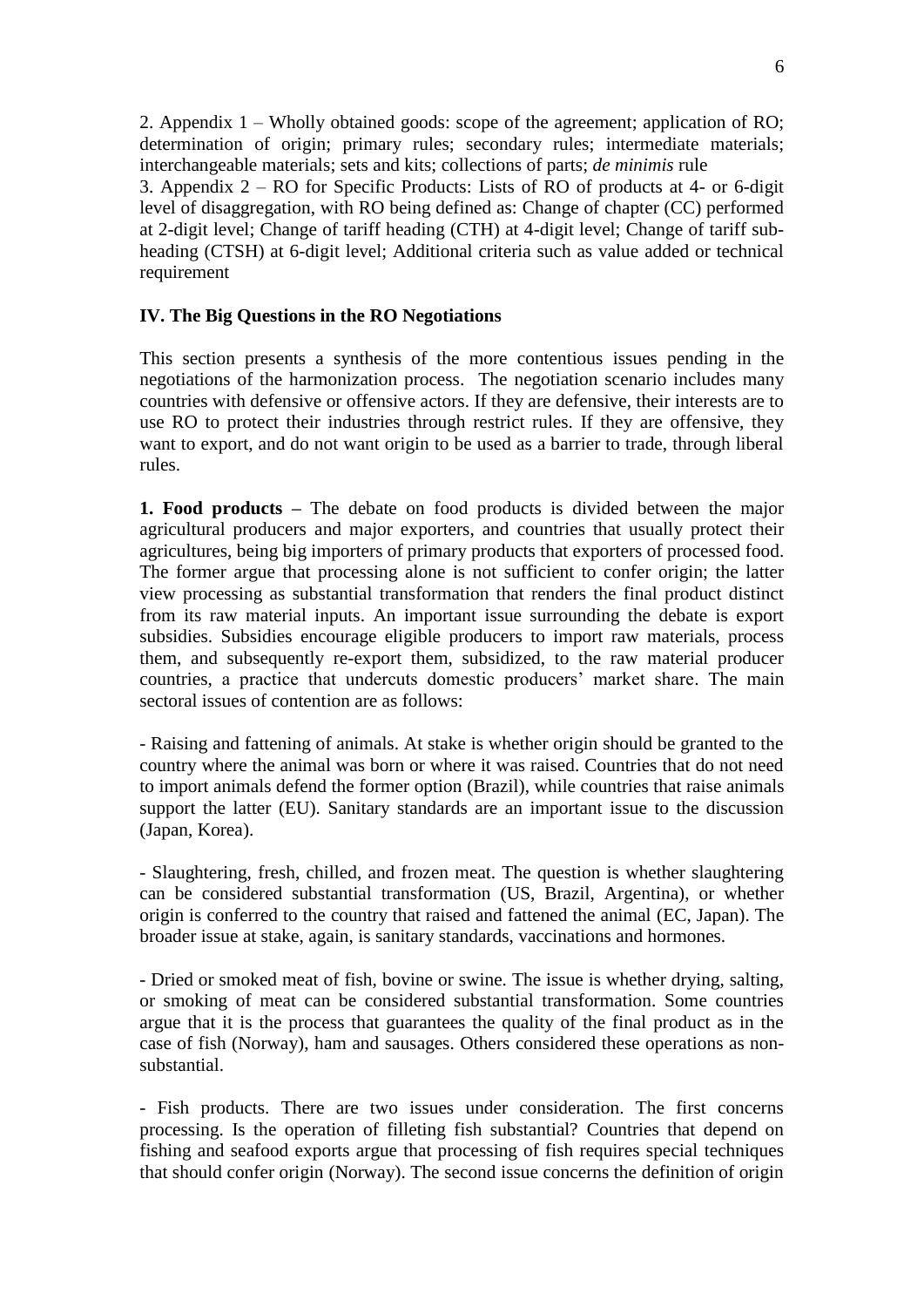2. Appendix 1 – Wholly obtained goods: scope of the agreement; application of RO; determination of origin; primary rules; secondary rules; intermediate materials; interchangeable materials; sets and kits; collections of parts; *de minimis* rule

3. Appendix 2 – RO for Specific Products: Lists of RO of products at 4- or 6-digit level of disaggregation, with RO being defined as: Change of chapter (CC) performed at 2-digit level; Change of tariff heading (CTH) at 4-digit level; Change of tariff subheading (CTSH) at 6-digit level; Additional criteria such as value added or technical requirement

# **IV. The Big Questions in the RO Negotiations**

This section presents a synthesis of the more contentious issues pending in the negotiations of the harmonization process. The negotiation scenario includes many countries with defensive or offensive actors. If they are defensive, their interests are to use RO to protect their industries through restrict rules. If they are offensive, they want to export, and do not want origin to be used as a barrier to trade, through liberal rules.

**1. Food products –** The debate on food products is divided between the major agricultural producers and major exporters, and countries that usually protect their agricultures, being big importers of primary products that exporters of processed food. The former argue that processing alone is not sufficient to confer origin; the latter view processing as substantial transformation that renders the final product distinct from its raw material inputs. An important issue surrounding the debate is export subsidies. Subsidies encourage eligible producers to import raw materials, process them, and subsequently re-export them, subsidized, to the raw material producer countries, a practice that undercuts domestic producers' market share. The main sectoral issues of contention are as follows:

- Raising and fattening of animals. At stake is whether origin should be granted to the country where the animal was born or where it was raised. Countries that do not need to import animals defend the former option (Brazil), while countries that raise animals support the latter (EU). Sanitary standards are an important issue to the discussion (Japan, Korea).

- Slaughtering, fresh, chilled, and frozen meat. The question is whether slaughtering can be considered substantial transformation (US, Brazil, Argentina), or whether origin is conferred to the country that raised and fattened the animal (EC, Japan). The broader issue at stake, again, is sanitary standards, vaccinations and hormones.

- Dried or smoked meat of fish, bovine or swine. The issue is whether drying, salting, or smoking of meat can be considered substantial transformation. Some countries argue that it is the process that guarantees the quality of the final product as in the case of fish (Norway), ham and sausages. Others considered these operations as nonsubstantial.

- Fish products. There are two issues under consideration. The first concerns processing. Is the operation of filleting fish substantial? Countries that depend on fishing and seafood exports argue that processing of fish requires special techniques that should confer origin (Norway). The second issue concerns the definition of origin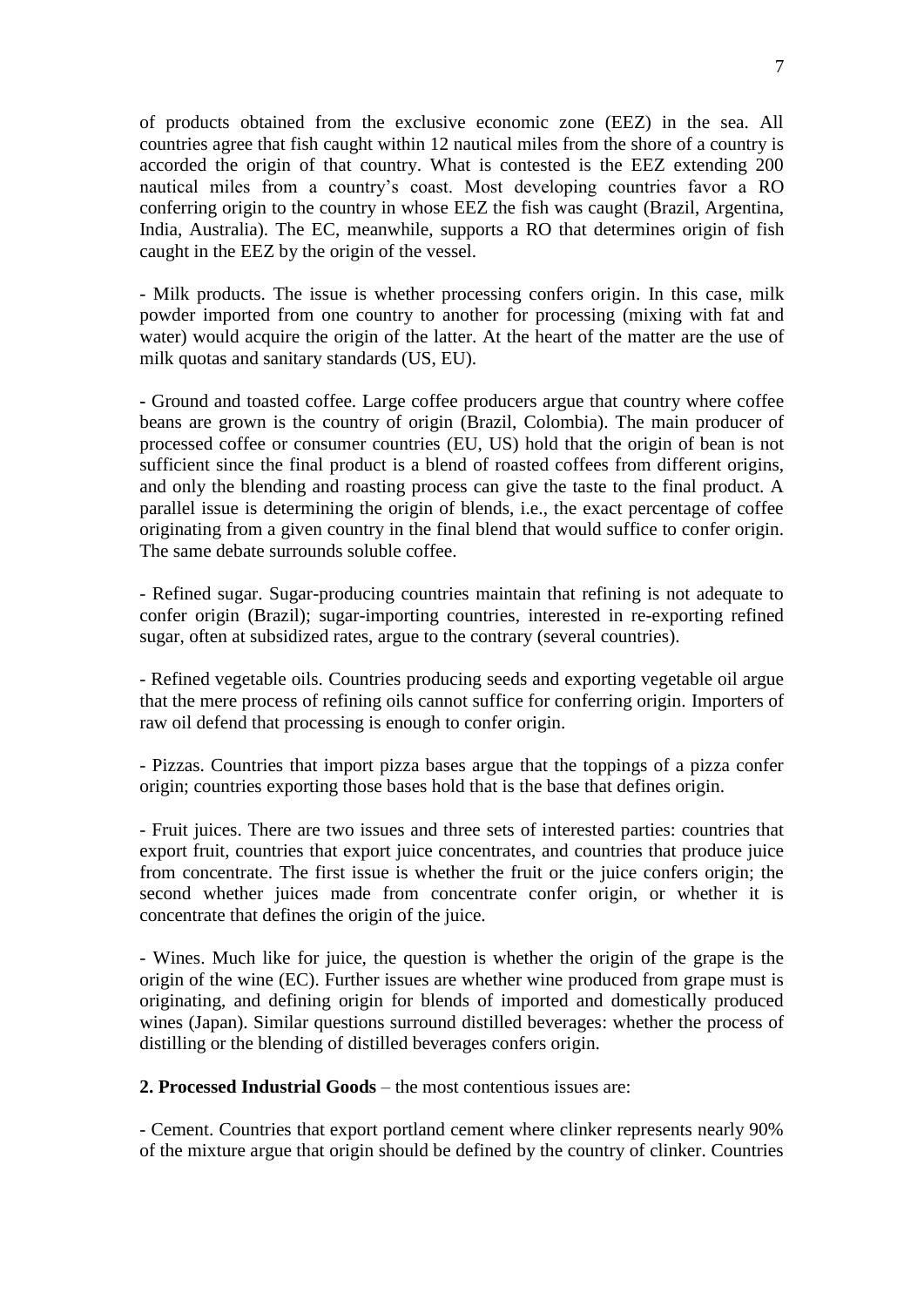of products obtained from the exclusive economic zone (EEZ) in the sea. All countries agree that fish caught within 12 nautical miles from the shore of a country is accorded the origin of that country. What is contested is the EEZ extending 200 nautical miles from a country's coast. Most developing countries favor a RO conferring origin to the country in whose EEZ the fish was caught (Brazil, Argentina, India, Australia). The EC, meanwhile, supports a RO that determines origin of fish caught in the EEZ by the origin of the vessel.

- Milk products. The issue is whether processing confers origin. In this case, milk powder imported from one country to another for processing (mixing with fat and water) would acquire the origin of the latter. At the heart of the matter are the use of milk quotas and sanitary standards (US, EU).

**-** Ground and toasted coffee. Large coffee producers argue that country where coffee beans are grown is the country of origin (Brazil, Colombia). The main producer of processed coffee or consumer countries (EU, US) hold that the origin of bean is not sufficient since the final product is a blend of roasted coffees from different origins, and only the blending and roasting process can give the taste to the final product. A parallel issue is determining the origin of blends, i.e., the exact percentage of coffee originating from a given country in the final blend that would suffice to confer origin. The same debate surrounds soluble coffee.

- Refined sugar. Sugar-producing countries maintain that refining is not adequate to confer origin (Brazil); sugar-importing countries, interested in re-exporting refined sugar, often at subsidized rates, argue to the contrary (several countries).

- Refined vegetable oils. Countries producing seeds and exporting vegetable oil argue that the mere process of refining oils cannot suffice for conferring origin. Importers of raw oil defend that processing is enough to confer origin.

- Pizzas. Countries that import pizza bases argue that the toppings of a pizza confer origin; countries exporting those bases hold that is the base that defines origin.

- Fruit juices. There are two issues and three sets of interested parties: countries that export fruit, countries that export juice concentrates, and countries that produce juice from concentrate. The first issue is whether the fruit or the juice confers origin; the second whether juices made from concentrate confer origin, or whether it is concentrate that defines the origin of the juice.

- Wines. Much like for juice, the question is whether the origin of the grape is the origin of the wine (EC). Further issues are whether wine produced from grape must is originating, and defining origin for blends of imported and domestically produced wines (Japan). Similar questions surround distilled beverages: whether the process of distilling or the blending of distilled beverages confers origin.

**2. Processed Industrial Goods** – the most contentious issues are:

- Cement. Countries that export portland cement where clinker represents nearly 90% of the mixture argue that origin should be defined by the country of clinker. Countries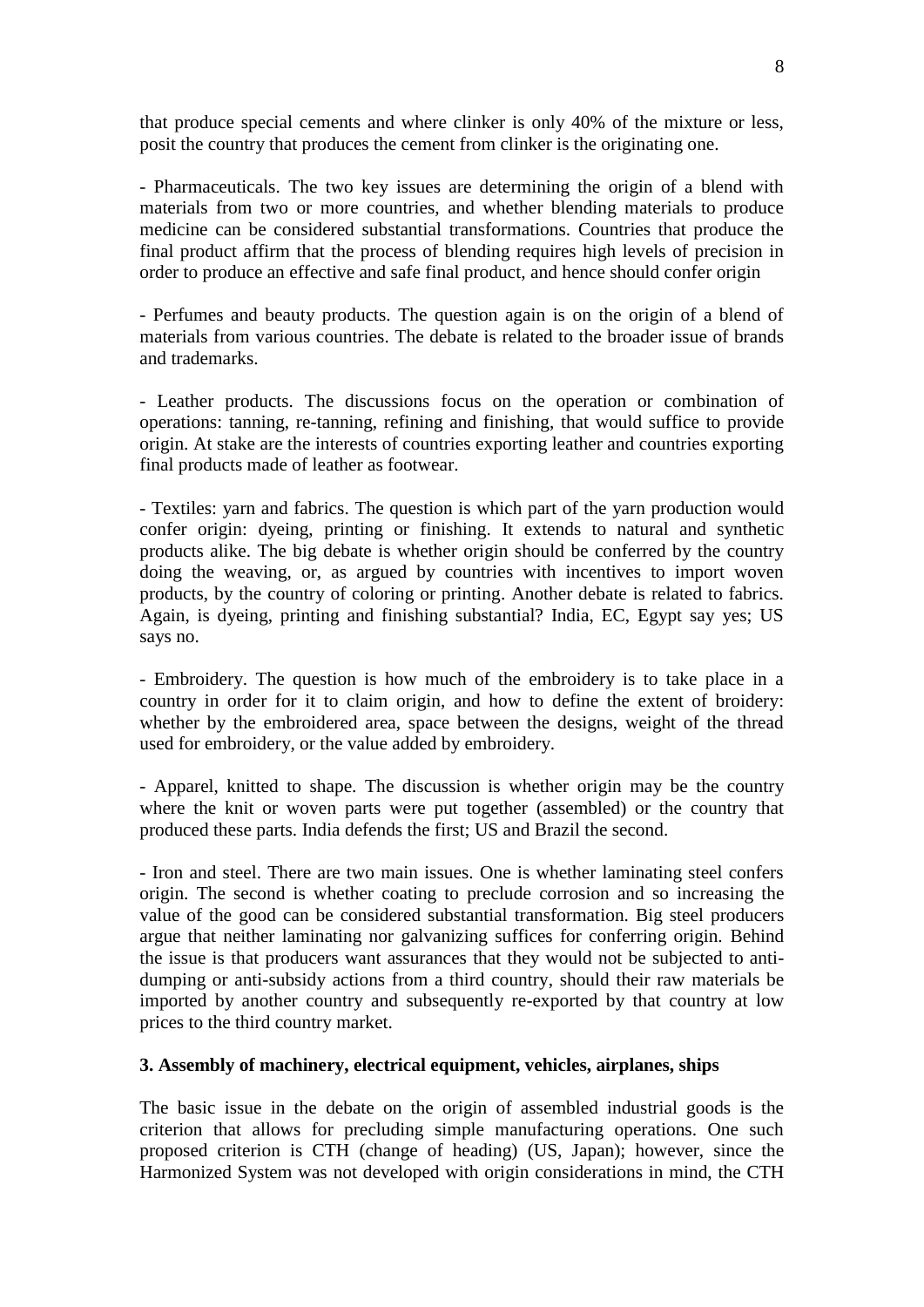that produce special cements and where clinker is only 40% of the mixture or less, posit the country that produces the cement from clinker is the originating one.

- Pharmaceuticals. The two key issues are determining the origin of a blend with materials from two or more countries, and whether blending materials to produce medicine can be considered substantial transformations. Countries that produce the final product affirm that the process of blending requires high levels of precision in order to produce an effective and safe final product, and hence should confer origin

- Perfumes and beauty products. The question again is on the origin of a blend of materials from various countries. The debate is related to the broader issue of brands and trademarks.

- Leather products. The discussions focus on the operation or combination of operations: tanning, re-tanning, refining and finishing, that would suffice to provide origin. At stake are the interests of countries exporting leather and countries exporting final products made of leather as footwear.

- Textiles: yarn and fabrics. The question is which part of the yarn production would confer origin: dyeing, printing or finishing. It extends to natural and synthetic products alike. The big debate is whether origin should be conferred by the country doing the weaving, or, as argued by countries with incentives to import woven products, by the country of coloring or printing. Another debate is related to fabrics. Again, is dyeing, printing and finishing substantial? India, EC, Egypt say yes; US says no.

- Embroidery. The question is how much of the embroidery is to take place in a country in order for it to claim origin, and how to define the extent of broidery: whether by the embroidered area, space between the designs, weight of the thread used for embroidery, or the value added by embroidery.

- Apparel, knitted to shape. The discussion is whether origin may be the country where the knit or woven parts were put together (assembled) or the country that produced these parts. India defends the first; US and Brazil the second.

- Iron and steel. There are two main issues. One is whether laminating steel confers origin. The second is whether coating to preclude corrosion and so increasing the value of the good can be considered substantial transformation. Big steel producers argue that neither laminating nor galvanizing suffices for conferring origin. Behind the issue is that producers want assurances that they would not be subjected to antidumping or anti-subsidy actions from a third country, should their raw materials be imported by another country and subsequently re-exported by that country at low prices to the third country market.

## **3. Assembly of machinery, electrical equipment, vehicles, airplanes, ships**

The basic issue in the debate on the origin of assembled industrial goods is the criterion that allows for precluding simple manufacturing operations. One such proposed criterion is CTH (change of heading) (US, Japan); however, since the Harmonized System was not developed with origin considerations in mind, the CTH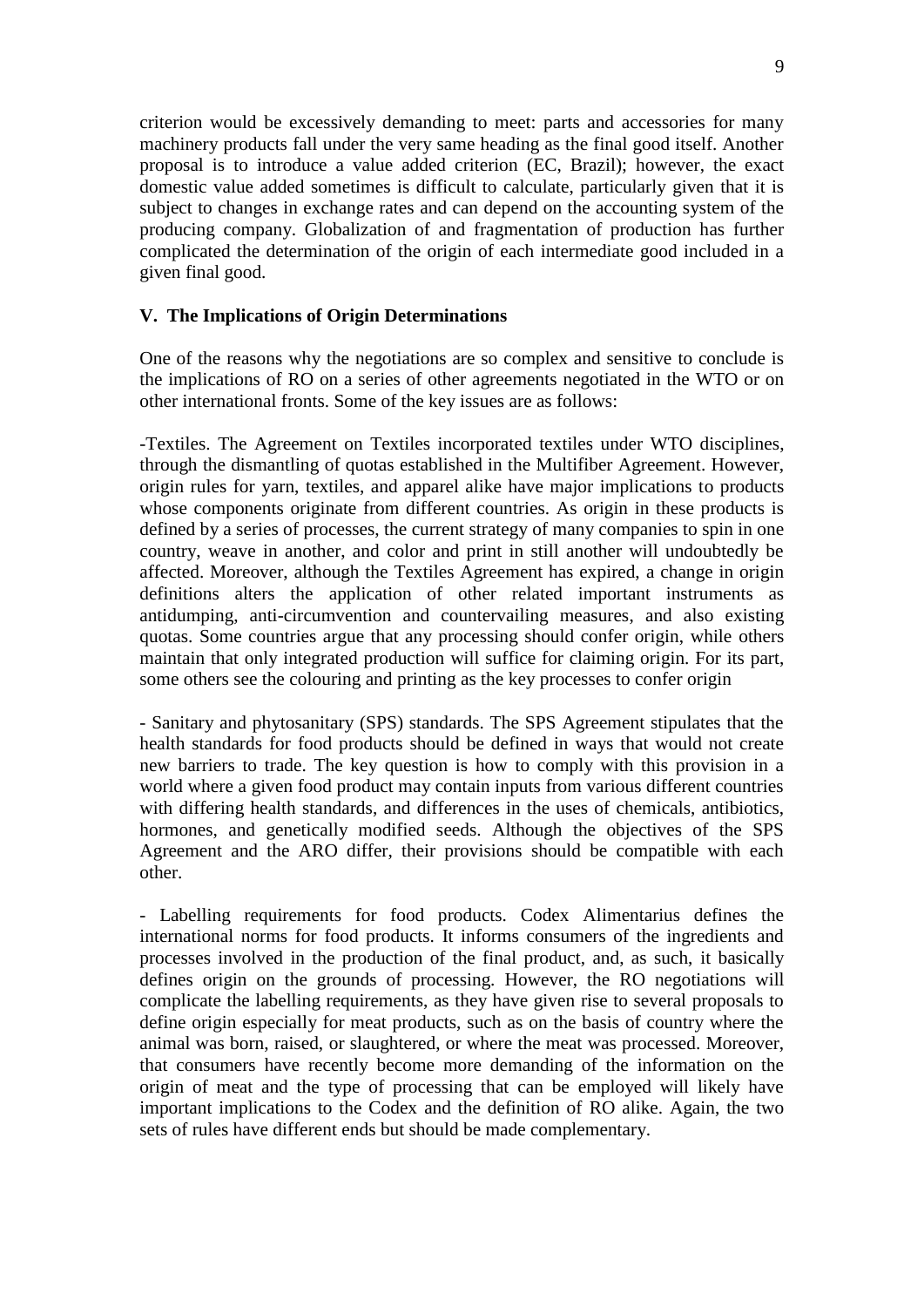criterion would be excessively demanding to meet: parts and accessories for many machinery products fall under the very same heading as the final good itself. Another proposal is to introduce a value added criterion (EC, Brazil); however, the exact domestic value added sometimes is difficult to calculate, particularly given that it is subject to changes in exchange rates and can depend on the accounting system of the producing company. Globalization of and fragmentation of production has further complicated the determination of the origin of each intermediate good included in a given final good.

# **V. The Implications of Origin Determinations**

One of the reasons why the negotiations are so complex and sensitive to conclude is the implications of RO on a series of other agreements negotiated in the WTO or on other international fronts. Some of the key issues are as follows:

-Textiles. The Agreement on Textiles incorporated textiles under WTO disciplines, through the dismantling of quotas established in the Multifiber Agreement. However, origin rules for yarn, textiles, and apparel alike have major implications to products whose components originate from different countries. As origin in these products is defined by a series of processes, the current strategy of many companies to spin in one country, weave in another, and color and print in still another will undoubtedly be affected. Moreover, although the Textiles Agreement has expired, a change in origin definitions alters the application of other related important instruments as antidumping, anti-circumvention and countervailing measures, and also existing quotas. Some countries argue that any processing should confer origin, while others maintain that only integrated production will suffice for claiming origin. For its part, some others see the colouring and printing as the key processes to confer origin

- Sanitary and phytosanitary (SPS) standards. The SPS Agreement stipulates that the health standards for food products should be defined in ways that would not create new barriers to trade. The key question is how to comply with this provision in a world where a given food product may contain inputs from various different countries with differing health standards, and differences in the uses of chemicals, antibiotics, hormones, and genetically modified seeds. Although the objectives of the SPS Agreement and the ARO differ, their provisions should be compatible with each other.

- Labelling requirements for food products. Codex Alimentarius defines the international norms for food products. It informs consumers of the ingredients and processes involved in the production of the final product, and, as such, it basically defines origin on the grounds of processing. However, the RO negotiations will complicate the labelling requirements, as they have given rise to several proposals to define origin especially for meat products, such as on the basis of country where the animal was born, raised, or slaughtered, or where the meat was processed. Moreover, that consumers have recently become more demanding of the information on the origin of meat and the type of processing that can be employed will likely have important implications to the Codex and the definition of RO alike. Again, the two sets of rules have different ends but should be made complementary.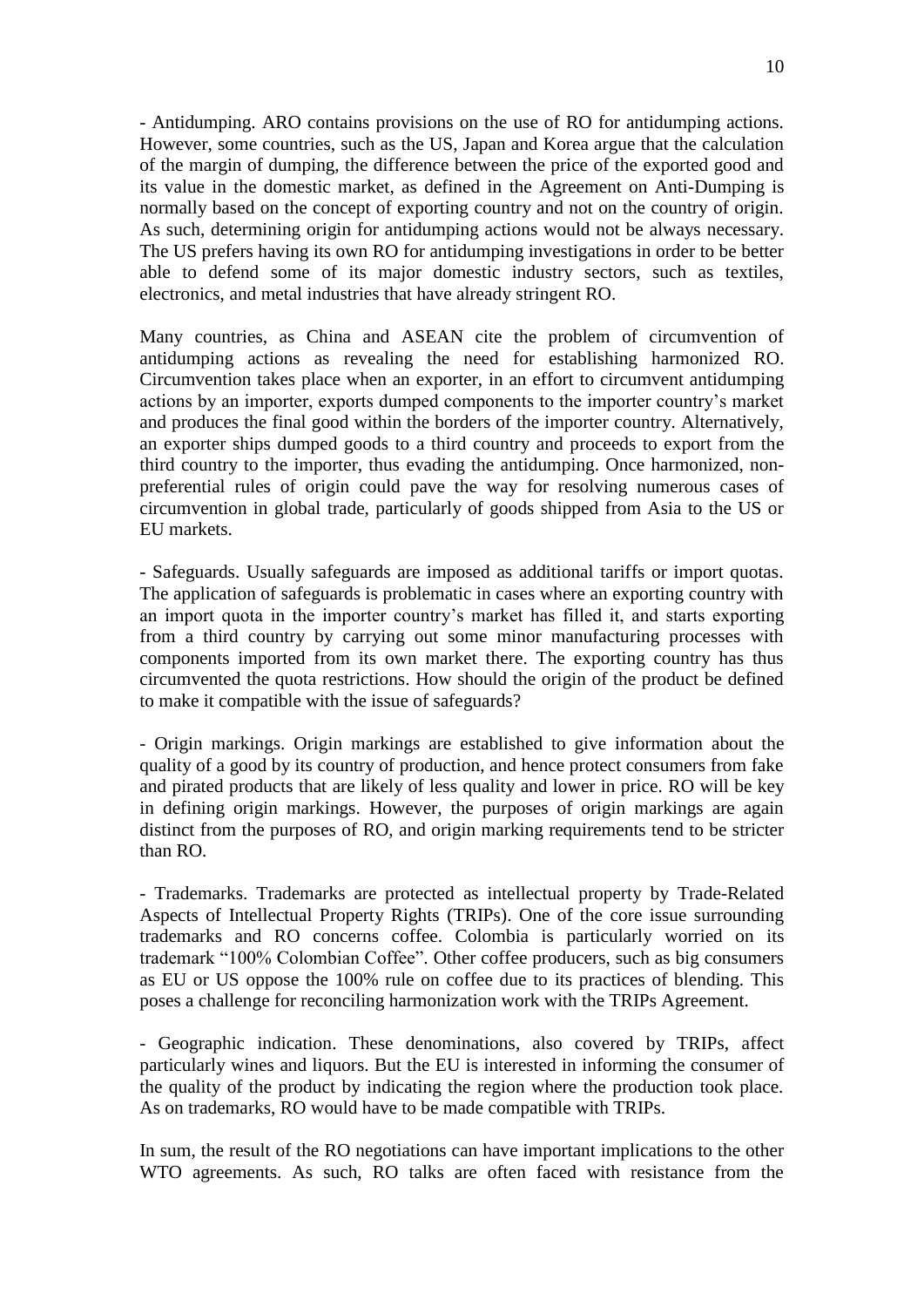- Antidumping. ARO contains provisions on the use of RO for antidumping actions. However, some countries, such as the US, Japan and Korea argue that the calculation of the margin of dumping, the difference between the price of the exported good and its value in the domestic market, as defined in the Agreement on Anti-Dumping is normally based on the concept of exporting country and not on the country of origin. As such, determining origin for antidumping actions would not be always necessary. The US prefers having its own RO for antidumping investigations in order to be better able to defend some of its major domestic industry sectors, such as textiles, electronics, and metal industries that have already stringent RO.

Many countries, as China and ASEAN cite the problem of circumvention of antidumping actions as revealing the need for establishing harmonized RO. Circumvention takes place when an exporter, in an effort to circumvent antidumping actions by an importer, exports dumped components to the importer country's market and produces the final good within the borders of the importer country. Alternatively, an exporter ships dumped goods to a third country and proceeds to export from the third country to the importer, thus evading the antidumping. Once harmonized, nonpreferential rules of origin could pave the way for resolving numerous cases of circumvention in global trade, particularly of goods shipped from Asia to the US or EU markets.

- Safeguards. Usually safeguards are imposed as additional tariffs or import quotas. The application of safeguards is problematic in cases where an exporting country with an import quota in the importer country's market has filled it, and starts exporting from a third country by carrying out some minor manufacturing processes with components imported from its own market there. The exporting country has thus circumvented the quota restrictions. How should the origin of the product be defined to make it compatible with the issue of safeguards?

- Origin markings. Origin markings are established to give information about the quality of a good by its country of production, and hence protect consumers from fake and pirated products that are likely of less quality and lower in price. RO will be key in defining origin markings. However, the purposes of origin markings are again distinct from the purposes of RO, and origin marking requirements tend to be stricter than RO.

- Trademarks. Trademarks are protected as intellectual property by Trade-Related Aspects of Intellectual Property Rights (TRIPs). One of the core issue surrounding trademarks and RO concerns coffee. Colombia is particularly worried on its trademark "100% Colombian Coffee". Other coffee producers, such as big consumers as EU or US oppose the 100% rule on coffee due to its practices of blending. This poses a challenge for reconciling harmonization work with the TRIPs Agreement.

- Geographic indication. These denominations, also covered by TRIPs, affect particularly wines and liquors. But the EU is interested in informing the consumer of the quality of the product by indicating the region where the production took place. As on trademarks, RO would have to be made compatible with TRIPs.

In sum, the result of the RO negotiations can have important implications to the other WTO agreements. As such, RO talks are often faced with resistance from the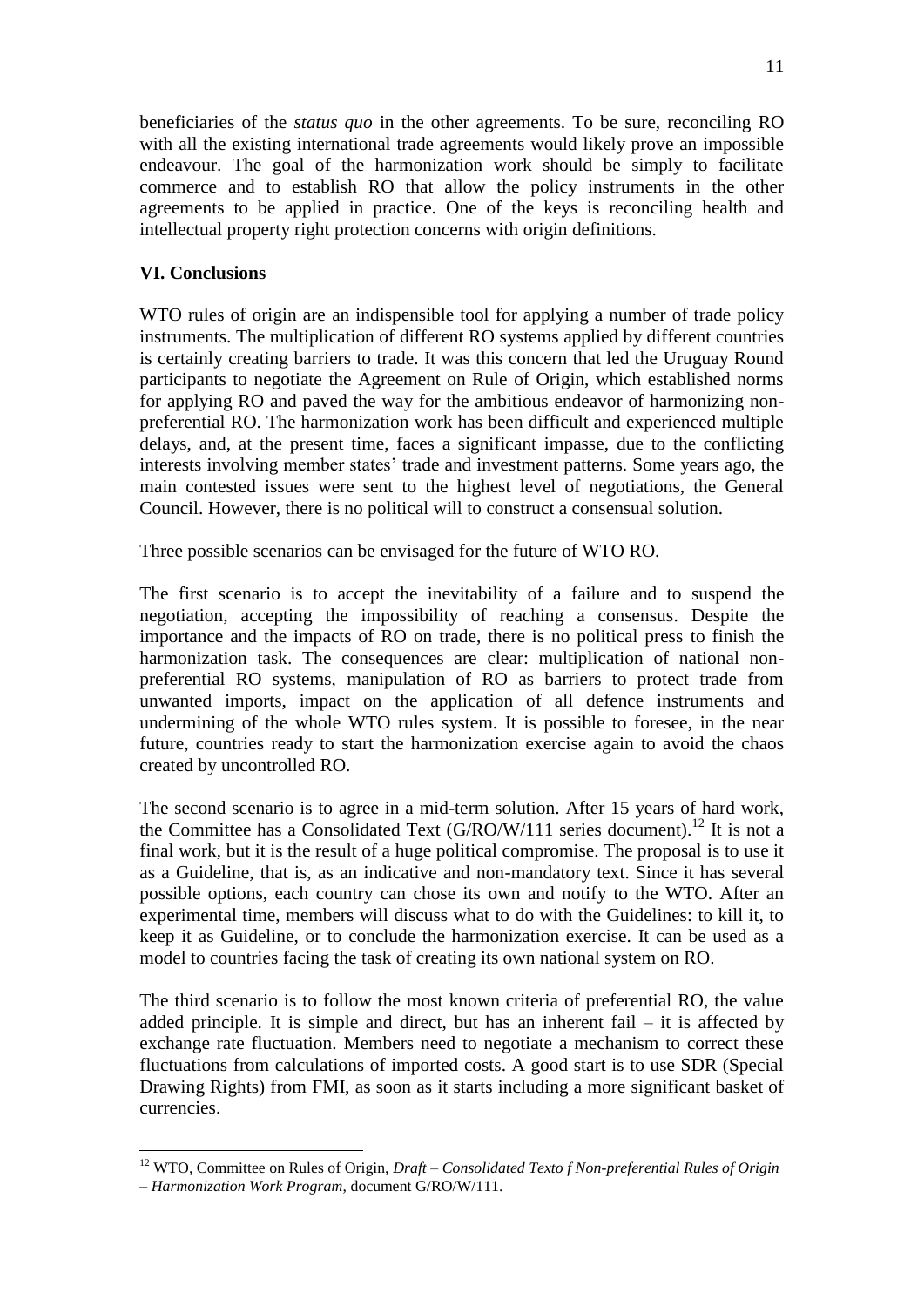beneficiaries of the *status quo* in the other agreements. To be sure, reconciling RO with all the existing international trade agreements would likely prove an impossible endeavour. The goal of the harmonization work should be simply to facilitate commerce and to establish RO that allow the policy instruments in the other agreements to be applied in practice. One of the keys is reconciling health and intellectual property right protection concerns with origin definitions.

# **VI. Conclusions**

WTO rules of origin are an indispensible tool for applying a number of trade policy instruments. The multiplication of different RO systems applied by different countries is certainly creating barriers to trade. It was this concern that led the Uruguay Round participants to negotiate the Agreement on Rule of Origin, which established norms for applying RO and paved the way for the ambitious endeavor of harmonizing nonpreferential RO. The harmonization work has been difficult and experienced multiple delays, and, at the present time, faces a significant impasse, due to the conflicting interests involving member states' trade and investment patterns. Some years ago, the main contested issues were sent to the highest level of negotiations, the General Council. However, there is no political will to construct a consensual solution.

Three possible scenarios can be envisaged for the future of WTO RO.

The first scenario is to accept the inevitability of a failure and to suspend the negotiation, accepting the impossibility of reaching a consensus. Despite the importance and the impacts of RO on trade, there is no political press to finish the harmonization task. The consequences are clear: multiplication of national nonpreferential RO systems, manipulation of RO as barriers to protect trade from unwanted imports, impact on the application of all defence instruments and undermining of the whole WTO rules system. It is possible to foresee, in the near future, countries ready to start the harmonization exercise again to avoid the chaos created by uncontrolled RO.

The second scenario is to agree in a mid-term solution. After 15 years of hard work, the Committee has a Consolidated Text  $(G/RO/W/111)$  series document).<sup>12</sup> It is not a final work, but it is the result of a huge political compromise. The proposal is to use it as a Guideline, that is, as an indicative and non-mandatory text. Since it has several possible options, each country can chose its own and notify to the WTO. After an experimental time, members will discuss what to do with the Guidelines: to kill it, to keep it as Guideline, or to conclude the harmonization exercise. It can be used as a model to countries facing the task of creating its own national system on RO.

The third scenario is to follow the most known criteria of preferential RO, the value added principle. It is simple and direct, but has an inherent fail  $-$  it is affected by exchange rate fluctuation. Members need to negotiate a mechanism to correct these fluctuations from calculations of imported costs. A good start is to use SDR (Special Drawing Rights) from FMI, as soon as it starts including a more significant basket of currencies.

<sup>&</sup>lt;u>.</u> <sup>12</sup> WTO, Committee on Rules of Origin, *Draft – Consolidated Texto f Non-preferential Rules of Origin* 

*<sup>–</sup> Harmonization Work Program*, document G/RO/W/111.